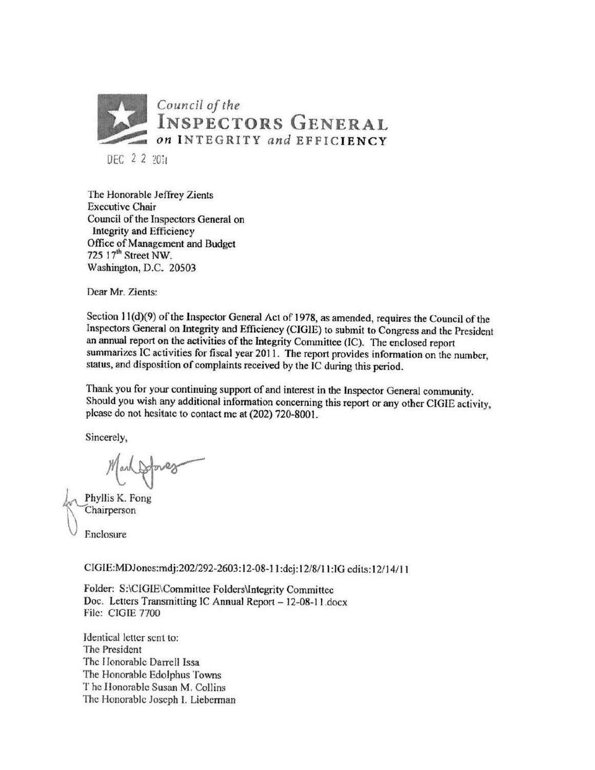

DEC 2 2 2011

The Honorable Jeffrey Zients Executive Chair Council of the Inspectors General on Integrity and Efficiency Office of Management and Budget 725 17<sup>th</sup> Street NW. Washington, D.C. 20503

Dear Mr. Zients:

Section 11(d)(9) of the Inspector General Act of 1978, as amended, requires the Council of the Inspectors General on Integrity and Efficiency (CIGIE) to submit to Congress and the President an annual report on the activities of the Integrity Committee (IC). The enclosed report summarizes IC activities for fiscal year 2011 . The report provides information on the number, status, and disposition of complaints received by the IC during this period.

Thank you for your continuing support of and interest in the Inspector General community. Should you wish any additional infonnation concerning this report or any other CIG1E activity, please do not hesitate to contact me at (202) 720-8001.

Sincerely,

se do not nesitate to contact me<br>verely,<br>Mark Orlange

Phyllis K. Fong Chairperson

Enclosure

CJGIE:MDJoncs:mdj:202/292-2603: 12-08-11 :dcj: 12/8/11 :IG edits: 12/14/ 11

Folder: S:\CIGlE\Committee Folders\lntegrity Committee Doc. Letters Transmitting IC Annual Report - 12-08-11.docx File: CIGIE 7700

Identical letter sent to: The President The Honorable Darrell Issa The Honorable Edolphus Towns The llonorablc Susan M. Collins The Honorable Joseph I. Lieberman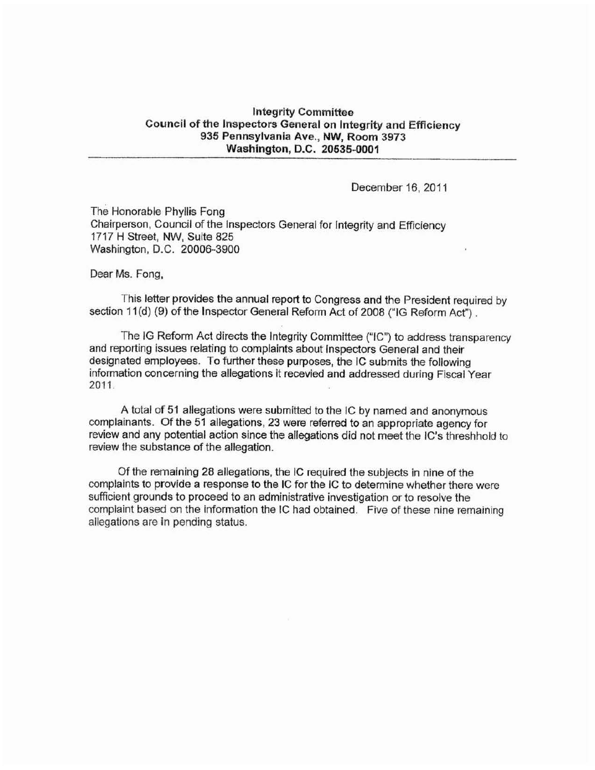## **Integrity Committee Council of the Inspectors General on Integrity and Efficiency 935 Pennsylvania Ave .• NW, Room 3973 Washington, D.C. 20535-0001**

December 16, 2011

The Honorable Phyllis Fong Chairperson, Council of the Inspectors General for Integrity and Efficiency 1717 H Street, NW, Suite 825 Washington, D.C. 20006-3900

## Dear Ms. Fong,

This letter provides the annual report to Congress and the President required by section 11(d) (9) of the Inspector General Reform Act of 2008 ("IG Reform Act").

The IG Reform Act directs the Integrity Committee ("IC") to address transparency and reporting issues relating to complaints about Inspectors General and their designated employees. To further these purposes, the IC submits the following information concerning the allegations it recevied and addressed during Fiscal Year 2011.

A total of 51 allegations were submitted to the IC by named and anonymous complainants. Of the 51 allegations, 23 were referred to an appropriate agency for review and any potential action since the allegations did not meet the IC's thresh hold to review the substance of the allegation.

Of the remaining 28 allegations, the IC required the subjects in nine of the complaints to provide a response to the IC for the IC to determine whether there were sufficient grounds to proceed to an administrative investigation or to resolve the complaint based on the information the IC had obtained. Five of these nine remaining allegations are in pending status.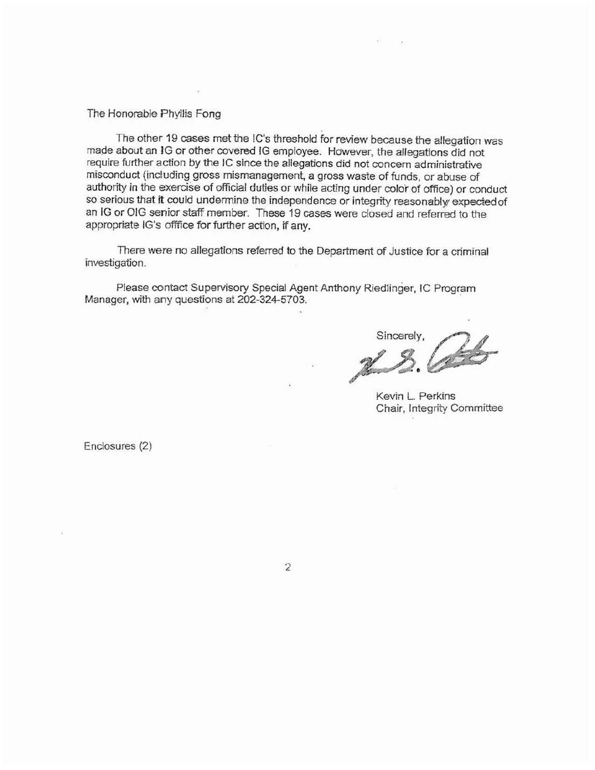The Honorable Phyllis Fong

The other 19 cases met the IC's threshold for review because the allegation was made about an JG or other covered IG employee. However, the allegations did not require further action by the IC since the allegations did not concern administrative misconduct (including gross mismanagement, a gross waste of funds, or abuse of authority in the exercise of official duties or while acting under color of office) or conduct so serious that it could undermine the independence or integrity reasonably expected of an IG or OlG senior staff member. These 19 cases were closed and referred to the appropriate IG's offfice for further action, if any.

There were no allegations referred to the Department of Justice for a criminal investigation.

Please contact Supervisory Special Agent Anthony Riedlinger, IC Program Manager, with any questions at 202-324-5703.

sincerely,

Kevin L. Perkins Chair, Integrity Committee

Enclosures (2)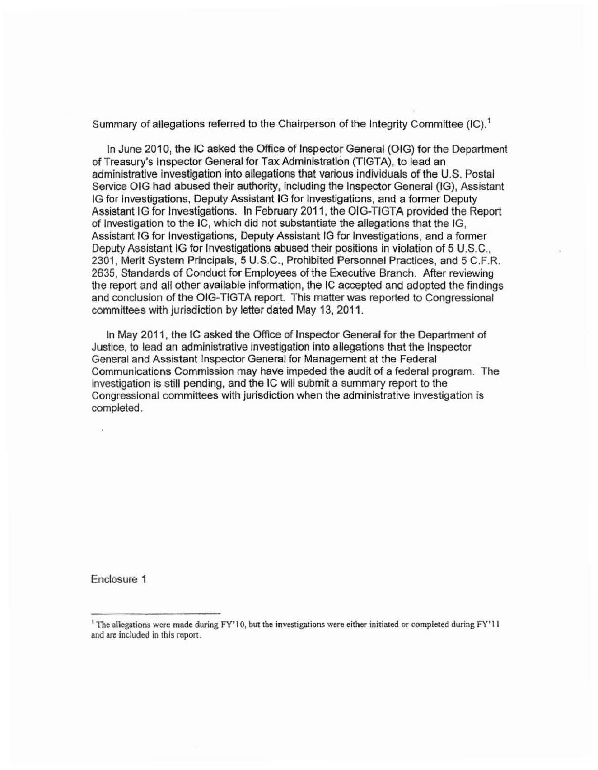Summary of allegations referred to the Chairperson of the Integrity Committee  $(IC)^1$ 

In June 2010, the IC asked the Office of Inspector General (OIG) for the Department of Treasury's Inspector General for Tax Administration (TIGTA), to lead an administrative investigation into allegations that various individuals of the U.S. Postal Service OIG had abused their authority, including the Inspector General (IG), Assistant IG for Investigations, Deputy Assistant IG for Investigations, and a former Deputy Assistant IG for Investigations. In February 2011, the OIG-TIGTA provided the Report of Investigation to the IC, which did not substantiate the allegations that the IG, Assistant IG for Investigations, Deputy Assistant IG for Investigations, and a fonner Deputy Assistant IG for Investigations abused their positions in violation of 5 U.S.C., 2301, Merit System Principals, 5 U.S.C., Prohibited Personnel Practices, and 5 C.F.R. 2635, Standards of Conduct for Employees of the Executive Branch. After reviewing the report and all other available information, the IC accepted and adopted the findings and conclusion of the OIG-TIGTA report. This matter was reported to Congressional committees with jurisdiction by letter dated May 13, 2011.

In May 2011, the IC asked the Office of Inspector General for the Department of Justice, to lead an administrative investigation into allegations that the Inspector General and Assistant Inspector General for Management at the Federal Communications Commission may have impeded the audit of a federal program. The investigation is still pending, and the IC will submit a summary report to the Congressional committees with jurisdiction when the administrative Investigation is completed.

Enclosure 1

<sup>&</sup>lt;sup>1</sup> The allegations were made during FY'10, but the investigations were either initiated or completed during FY'11 and are included in this report.